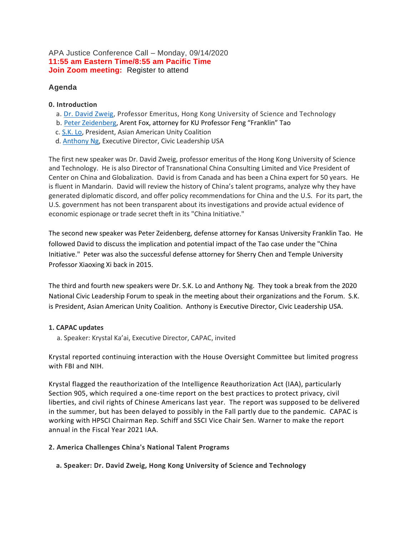## APA Justice Conference Call – Monday, 09/14/2020 **11:55 am Eastern Time/8:55 am Pacific Time Join Zoom meeting:** Register to attend

## **Agenda**

## **0. Introduction**

- a. [Dr. David Zweig,](https://bit.ly/3i0xta7) Professor Emeritus, Hong Kong University of Science and Technology
- b. [Peter Zeidenberg](http://bit.ly/2WN8pda), Arent Fox, attorney for KU Professor Feng "Franklin" Tao
- c. [S.K. Lo,](https://bit.ly/3kk9uTM) President, Asian American Unity Coalition
- d. [Anthony Ng,](https://clusa.org/home/about-our-team/) Executive Director, Civic Leadership USA

The first new speaker was Dr. David Zweig, professor emeritus of the Hong Kong University of Science and Technology. He is also Director of Transnational China Consulting Limited and Vice President of Center on China and Globalization. David is from Canada and has been a China expert for 50 years. He is fluent in Mandarin. David will review the history of China's talent programs, analyze why they have generated diplomatic discord, and offer policy recommendations for China and the U.S. For its part, the U.S. government has not been transparent about its investigations and provide actual evidence of economic espionage or trade secret theft in its "China Initiative."

The second new speaker was Peter Zeidenberg, defense attorney for Kansas University Franklin Tao. He followed David to discuss the implication and potential impact of the Tao case under the "China Initiative." Peter was also the successful defense attorney for Sherry Chen and Temple University Professor Xiaoxing Xi back in 2015.

The third and fourth new speakers were Dr. S.K. Lo and Anthony Ng. They took a break from the 2020 National Civic Leadership Forum to speak in the meeting about their organizations and the Forum. S.K. is President, Asian American Unity Coalition. Anthony is Executive Director, Civic Leadership USA.

### **1. CAPAC updates**

a. Speaker: Krystal Ka'ai, Executive Director, CAPAC, invited

Krystal reported continuing interaction with the House Oversight Committee but limited progress with FBI and NIH.

Krystal flagged the reauthorization of the Intelligence Reauthorization Act (IAA), particularly Section 905, which required a one-time report on the best practices to protect privacy, civil liberties, and civil rights of Chinese Americans last year. The report was supposed to be delivered in the summer, but has been delayed to possibly in the Fall partly due to the pandemic. CAPAC is working with HPSCI Chairman Rep. Schiff and SSCI Vice Chair Sen. Warner to make the report annual in the Fiscal Year 2021 IAA.

### **2. America Challenges China's National Talent Programs**

 **a. Speaker: Dr. David Zweig, Hong Kong University of Science and Technology**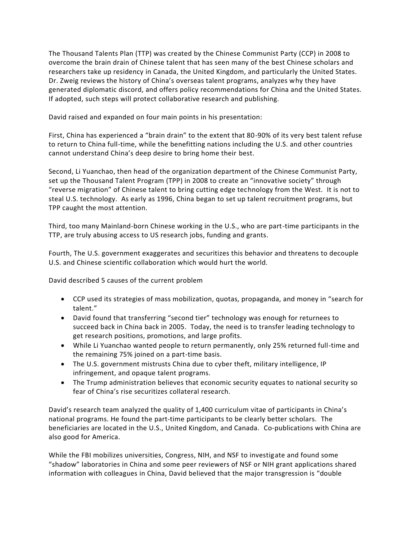The Thousand Talents Plan (TTP) was created by the Chinese Communist Party (CCP) in 2008 to overcome the brain drain of Chinese talent that has seen many of the best Chinese scholars and researchers take up residency in Canada, the United Kingdom, and particularly the United States. Dr. Zweig reviews the history of China's overseas talent programs, analyzes why they have generated diplomatic discord, and offers policy recommendations for China and the United States. If adopted, such steps will protect collaborative research and publishing.

David raised and expanded on four main points in his presentation:

First, China has experienced a "brain drain" to the extent that 80-90% of its very best talent refuse to return to China full-time, while the benefitting nations including the U.S. and other countries cannot understand China's deep desire to bring home their best.

Second, Li Yuanchao, then head of the organization department of the Chinese Communist Party, set up the Thousand Talent Program (TPP) in 2008 to create an "innovative society" through "reverse migration" of Chinese talent to bring cutting edge technology from the West. It is not to steal U.S. technology. As early as 1996, China began to set up talent recruitment programs, but TPP caught the most attention.

Third, too many Mainland-born Chinese working in the U.S., who are part-time participants in the TTP, are truly abusing access to US research jobs, funding and grants.

Fourth, The U.S. government exaggerates and securitizes this behavior and threatens to decouple U.S. and Chinese scientific collaboration which would hurt the world.

David described 5 causes of the current problem

- CCP used its strategies of mass mobilization, quotas, propaganda, and money in "search for talent."
- David found that transferring "second tier" technology was enough for returnees to succeed back in China back in 2005. Today, the need is to transfer leading technology to get research positions, promotions, and large profits.
- While Li Yuanchao wanted people to return permanently, only 25% returned full-time and the remaining 75% joined on a part-time basis.
- The U.S. government mistrusts China due to cyber theft, military intelligence, IP infringement, and opaque talent programs.
- The Trump administration believes that economic security equates to national security so fear of China's rise securitizes collateral research.

David's research team analyzed the quality of 1,400 curriculum vitae of participants in China's national programs. He found the part-time participants to be clearly better scholars. The beneficiaries are located in the U.S., United Kingdom, and Canada. Co-publications with China are also good for America.

While the FBI mobilizes universities, Congress, NIH, and NSF to investigate and found some "shadow" laboratories in China and some peer reviewers of NSF or NIH grant applications shared information with colleagues in China, David believed that the major transgression is "double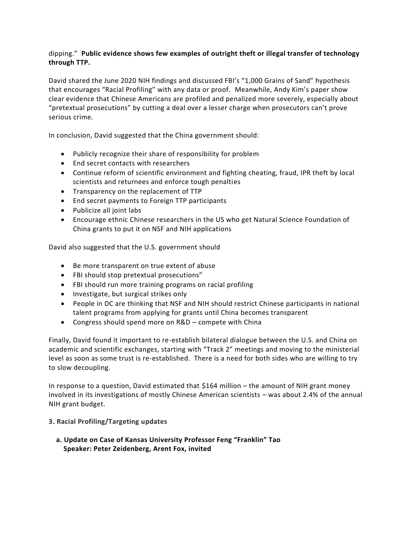# dipping." **Public evidence shows few examples of outright theft or illegal transfer of technology through TTP.**

David shared the June 2020 NIH findings and discussed FBI's "1,000 Grains of Sand" hypothesis that encourages "Racial Profiling" with any data or proof. Meanwhile, Andy Kim's paper show clear evidence that Chinese Americans are profiled and penalized more severely, especially about "pretextual prosecutions" by cutting a deal over a lesser charge when prosecutors can't prove serious crime.

In conclusion, David suggested that the China government should:

- Publicly recognize their share of responsibility for problem
- End secret contacts with researchers
- Continue reform of scientific environment and fighting cheating, fraud, IPR theft by local scientists and returnees and enforce tough penalties
- Transparency on the replacement of TTP
- End secret payments to Foreign TTP participants
- Publicize all joint labs
- Encourage ethnic Chinese researchers in the US who get Natural Science Foundation of China grants to put it on NSF and NIH applications

David also suggested that the U.S. government should

- Be more transparent on true extent of abuse
- FBI should stop pretextual prosecutions"
- FBI should run more training programs on racial profiling
- Investigate, but surgical strikes only
- People in DC are thinking that NSF and NIH should restrict Chinese participants in national talent programs from applying for grants until China becomes transparent
- Congress should spend more on R&D compete with China

Finally, David found it important to re-establish bilateral dialogue between the U.S. and China on academic and scientific exchanges, starting with "Track 2" meetings and moving to the ministerial level as soon as some trust is re-established. There is a need for both sides who are willing to try to slow decoupling.

In response to a question, David estimated that \$164 million – the amount of NIH grant money involved in its investigations of mostly Chinese American scientists – was about 2.4% of the annual NIH grant budget.

### **3. Racial Profiling/Targeting updates**

**a. Update on Case of Kansas University Professor Feng "Franklin" Tao Speaker: Peter Zeidenberg, Arent Fox, invited**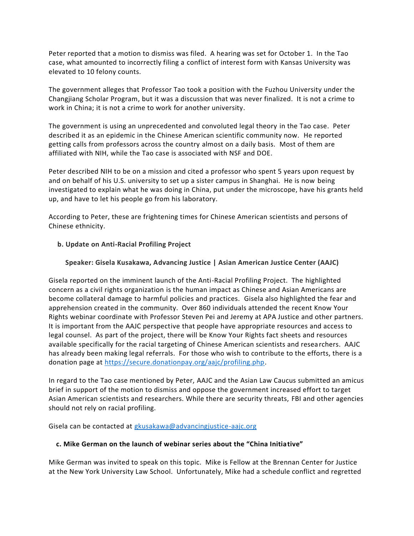Peter reported that a motion to dismiss was filed. A hearing was set for October 1. In the Tao case, what amounted to incorrectly filing a conflict of interest form with Kansas University was elevated to 10 felony counts.

The government alleges that Professor Tao took a position with the Fuzhou University under the Changjiang Scholar Program, but it was a discussion that was never finalized. It is not a crime to work in China; it is not a crime to work for another university.

The government is using an unprecedented and convoluted legal theory in the Tao case. Peter described it as an epidemic in the Chinese American scientific community now. He reported getting calls from professors across the country almost on a daily basis. Most of them are affiliated with NIH, while the Tao case is associated with NSF and DOE.

Peter described NIH to be on a mission and cited a professor who spent 5 years upon request by and on behalf of his U.S. university to set up a sister campus in Shanghai. He is now being investigated to explain what he was doing in China, put under the microscope, have his grants held up, and have to let his people go from his laboratory.

According to Peter, these are frightening times for Chinese American scientists and persons of Chinese ethnicity.

## **b. Update on Anti-Racial Profiling Project**

## **Speaker: Gisela Kusakawa, Advancing Justice | Asian American Justice Center (AAJC)**

Gisela reported on the imminent launch of the Anti-Racial Profiling Project. The highlighted concern as a civil rights organization is the human impact as Chinese and Asian Americans are become collateral damage to harmful policies and practices. Gisela also highlighted the fear and apprehension created in the community. Over 860 individuals attended the recent Know Your Rights webinar coordinate with Professor Steven Pei and Jeremy at APA Justice and other partners. It is important from the AAJC perspective that people have appropriate resources and access to legal counsel. As part of the project, there will be Know Your Rights fact sheets and resources available specifically for the racial targeting of Chinese American scientists and researchers. AAJC has already been making legal referrals. For those who wish to contribute to the efforts, there is a donation page at [https://secure.donationpay.org/aajc/profiling.php.](https://secure.donationpay.org/aajc/profiling.php)

In regard to the Tao case mentioned by Peter, AAJC and the Asian Law Caucus submitted an amicus brief in support of the motion to dismiss and oppose the government increased effort to target Asian American scientists and researchers. While there are security threats, FBI and other agencies should not rely on racial profiling.

Gisela can be contacted at [gkusakawa@advancingjustice-aajc.org](mailto:gkusakawa@advancingjustice-aajc.org)

### **c. Mike German on the launch of webinar series about the "China Initiative"**

Mike German was invited to speak on this topic. Mike is Fellow at the Brennan Center for Justice at the New York University Law School. Unfortunately, Mike had a schedule conflict and regretted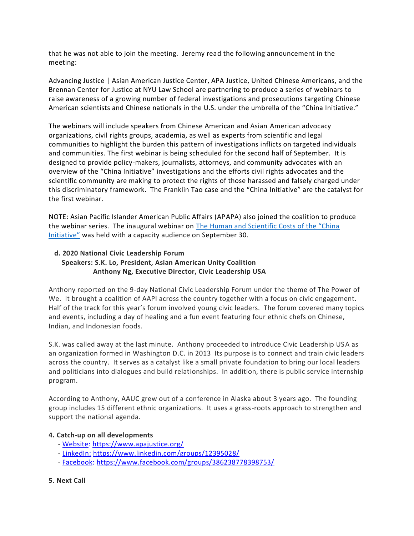that he was not able to join the meeting. Jeremy read the following announcement in the meeting:

Advancing Justice | Asian American Justice Center, APA Justice, United Chinese Americans, and the Brennan Center for Justice at NYU Law School are partnering to produce a series of webinars to raise awareness of a growing number of federal investigations and prosecutions targeting Chinese American scientists and Chinese nationals in the U.S. under the umbrella of the "China Initiative."

The webinars will include speakers from Chinese American and Asian American advocacy organizations, civil rights groups, academia, as well as experts from scientific and legal communities to highlight the burden this pattern of investigations inflicts on targeted individuals and communities. The first webinar is being scheduled for the second half of September. It is designed to provide policy-makers, journalists, attorneys, and community advocates with an overview of the "China Initiative" investigations and the efforts civil rights advocates and the scientific community are making to protect the rights of those harassed and falsely charged under this discriminatory framework. The Franklin Tao case and the "China Initiative" are the catalyst for the first webinar.

NOTE: Asian Pacific Islander American Public Affairs (APAPA) also joined the coalition to produce the webinar series. The inaugural webinar on [The Human and Scientific Costs of the "China](https://bit.ly/3kFFOS2)  [Initiative"](https://bit.ly/3kFFOS2) was held with a capacity audience on September 30.

# **d. 2020 National Civic Leadership Forum Speakers: S.K. Lo, President, Asian American Unity Coalition Anthony Ng, Executive Director, Civic Leadership USA**

Anthony reported on the 9-day National Civic Leadership Forum under the theme of The Power of We. It brought a coalition of AAPI across the country together with a focus on civic engagement. Half of the track for this year's forum involved young civic leaders. The forum covered many topics and events, including a day of healing and a fun event featuring four ethnic chefs on Chinese, Indian, and Indonesian foods.

S.K. was called away at the last minute. Anthony proceeded to introduce Civic Leadership USA as an organization formed in Washington D.C. in 2013 Its purpose is to connect and train civic leaders across the country. It serves as a catalyst like a small private foundation to bring our local leaders and politicians into dialogues and build relationships. In addition, there is public service internship program.

According to Anthony, AAUC grew out of a conference in Alaska about 3 years ago. The founding group includes 15 different ethnic organizations. It uses a grass-roots approach to strengthen and support the national agenda.

# **4. Catch-up on all developments**

- [Website:](https://www.apajustice.org/) <https://www.apajustice.org/>
- [LinkedIn:](https://bit.ly/2KwIhxL) <https://www.linkedin.com/groups/12395028/>
- [Facebook:](https://bit.ly/2Tij3Il) <https://www.facebook.com/groups/386238778398753/>

### **5. Next Call**